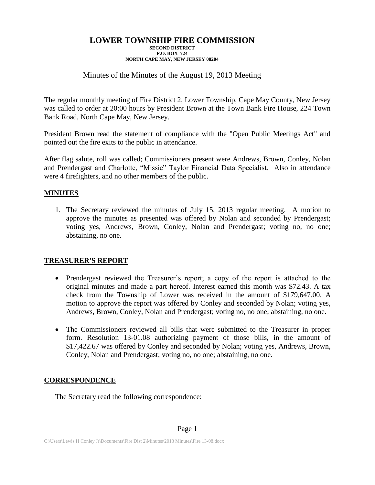# Minutes of the Minutes of the August 19, 2013 Meeting

The regular monthly meeting of Fire District 2, Lower Township, Cape May County, New Jersey was called to order at 20:00 hours by President Brown at the Town Bank Fire House, 224 Town Bank Road, North Cape May, New Jersey.

President Brown read the statement of compliance with the "Open Public Meetings Act" and pointed out the fire exits to the public in attendance.

After flag salute, roll was called; Commissioners present were Andrews, Brown, Conley, Nolan and Prendergast and Charlotte, "Missie" Taylor Financial Data Specialist. Also in attendance were 4 firefighters, and no other members of the public.

## **MINUTES**

1. The Secretary reviewed the minutes of July 15, 2013 regular meeting. A motion to approve the minutes as presented was offered by Nolan and seconded by Prendergast; voting yes, Andrews, Brown, Conley, Nolan and Prendergast; voting no, no one; abstaining, no one.

## **TREASURER'S REPORT**

- Prendergast reviewed the Treasurer's report; a copy of the report is attached to the original minutes and made a part hereof. Interest earned this month was \$72.43. A tax check from the Township of Lower was received in the amount of \$179,647.00. A motion to approve the report was offered by Conley and seconded by Nolan; voting yes, Andrews, Brown, Conley, Nolan and Prendergast; voting no, no one; abstaining, no one.
- The Commissioners reviewed all bills that were submitted to the Treasurer in proper form. Resolution 13-01.08 authorizing payment of those bills, in the amount of \$17,422.67 was offered by Conley and seconded by Nolan; voting yes, Andrews, Brown, Conley, Nolan and Prendergast; voting no, no one; abstaining, no one.

## **CORRESPONDENCE**

The Secretary read the following correspondence: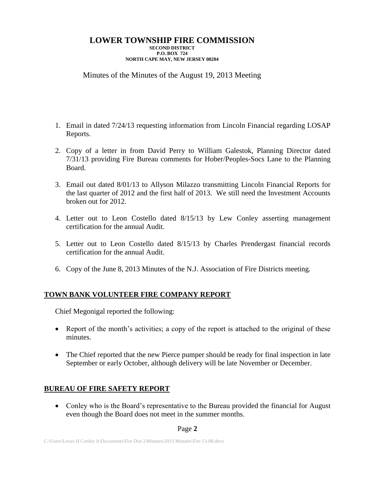# Minutes of the Minutes of the August 19, 2013 Meeting

- 1. Email in dated 7/24/13 requesting information from Lincoln Financial regarding LOSAP Reports.
- 2. Copy of a letter in from David Perry to William Galestok, Planning Director dated 7/31/13 providing Fire Bureau comments for Hober/Peoples-Socs Lane to the Planning Board.
- 3. Email out dated 8/01/13 to Allyson Milazzo transmitting Lincoln Financial Reports for the last quarter of 2012 and the first half of 2013. We still need the Investment Accounts broken out for 2012.
- 4. Letter out to Leon Costello dated 8/15/13 by Lew Conley asserting management certification for the annual Audit.
- 5. Letter out to Leon Costello dated 8/15/13 by Charles Prendergast financial records certification for the annual Audit.
- 6. Copy of the June 8, 2013 Minutes of the N.J. Association of Fire Districts meeting.

# **TOWN BANK VOLUNTEER FIRE COMPANY REPORT**

Chief Megonigal reported the following:

- Report of the month's activities; a copy of the report is attached to the original of these minutes.
- The Chief reported that the new Pierce pumper should be ready for final inspection in late September or early October, although delivery will be late November or December.

# **BUREAU OF FIRE SAFETY REPORT**

 Conley who is the Board's representative to the Bureau provided the financial for August even though the Board does not meet in the summer months.

## Page **2**

C:\Users\Lewis H Conley Jr\Documents\Fire Dist 2\Minutes\2013 Minutes\Fire 13-08.docx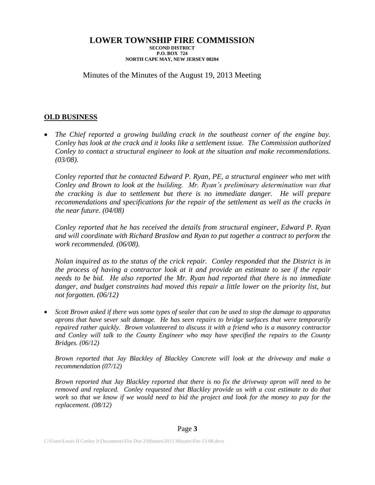# Minutes of the Minutes of the August 19, 2013 Meeting

# **OLD BUSINESS**

 *The Chief reported a growing building crack in the southeast corner of the engine bay. Conley has look at the crack and it looks like a settlement issue. The Commission authorized Conley to contact a structural engineer to look at the situation and make recommendations. (03/08).*

*Conley reported that he contacted Edward P. Ryan, PE, a structural engineer who met with Conley and Brown to look at the building. Mr. Ryan's preliminary determination was that the cracking is due to settlement but there is no immediate danger. He will prepare recommendations and specifications for the repair of the settlement as well as the cracks in the near future. (04/08)*

*Conley reported that he has received the details from structural engineer, Edward P. Ryan and will coordinate with Richard Braslow and Ryan to put together a contract to perform the work recommended. (06/08).*

*Nolan inquired as to the status of the crick repair. Conley responded that the District is in the process of having a contractor look at it and provide an estimate to see if the repair needs to be bid. He also reported the Mr. Ryan had reported that there is no immediate*  danger, and budget constraints had moved this repair a little lower on the priority list, but *not forgotten. (06/12)*

 *Scott Brown asked if there was some types of sealer that can be used to stop the damage to apparatus aprons that have sever salt damage. He has seen repairs to bridge surfaces that were temporarily repaired rather quickly. Brown volunteered to discuss it with a friend who is a masonry contractor and Conley will talk to the County Engineer who may have specified the repairs to the County Bridges. (06/12)*

*Brown reported that Jay Blackley of Blackley Concrete will look at the driveway and make a recommendation (07/12)*

*Brown reported that Jay Blackley reported that there is no fix the driveway apron will need to be removed and replaced. Conley requested that Blackley provide us with a cost estimate to do that work so that we know if we would need to bid the project and look for the money to pay for the replacement. (08/12)*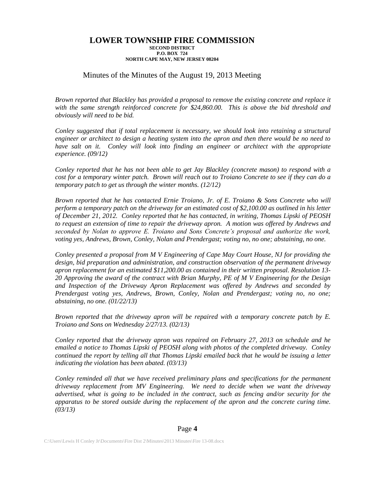## Minutes of the Minutes of the August 19, 2013 Meeting

*Brown reported that Blackley has provided a proposal to remove the existing concrete and replace it with the same strength reinforced concrete for \$24,860.00. This is above the bid threshold and obviously will need to be bid.*

*Conley suggested that if total replacement is necessary, we should look into retaining a structural engineer or architect to design a heating system into the apron and then there would be no need to have salt on it. Conley will look into finding an engineer or architect with the appropriate experience. (09/12)*

*Conley reported that he has not been able to get Jay Blackley (concrete mason) to respond with a cost for a temporary winter patch. Brown will reach out to Troiano Concrete to see if they can do a temporary patch to get us through the winter months. (12/12)*

*Brown reported that he has contacted Ernie Troiano, Jr. of E. Troiano & Sons Concrete who will perform a temporary patch on the driveway for an estimated cost of \$2,100.00 as outlined in his letter of December 21, 2012. Conley reported that he has contacted, in writing, Thomas Lipski of PEOSH to request an extension of time to repair the driveway apron. A motion was offered by Andrews and seconded by Nolan to approve E. Troiano and Sons Concrete's proposal and authorize the work, voting yes, Andrews, Brown, Conley, Nolan and Prendergast; voting no, no one; abstaining, no one.*

*Conley presented a proposal from M V Engineering of Cape May Court House, NJ for providing the design, bid preparation and administration, and construction observation of the permanent driveway apron replacement for an estimated \$11,200.00 as contained in their written proposal. Resolution 13- 20 Approving the award of the contract with Brian Murphy, PE of M V Engineering for the Design and Inspection of the Driveway Apron Replacement was offered by Andrews and seconded by Prendergast voting yes, Andrews, Brown, Conley, Nolan and Prendergast; voting no, no one; abstaining, no one. (01/22/13)*

*Brown reported that the driveway apron will be repaired with a temporary concrete patch by E. Troiano and Sons on Wednesday 2/27/13. (02/13)*

*Conley reported that the driveway apron was repaired on February 27, 2013 on schedule and he emailed a notice to Thomas Lipski of PEOSH along with photos of the completed driveway. Conley continued the report by telling all that Thomas Lipski emailed back that he would be issuing a letter indicating the violation has been abated. (03/13)*

*Conley reminded all that we have received preliminary plans and specifications for the permanent driveway replacement from MV Engineering. We need to decide when we want the driveway advertised, what is going to be included in the contract, such as fencing and/or security for the apparatus to be stored outside during the replacement of the apron and the concrete curing time. (03/13)*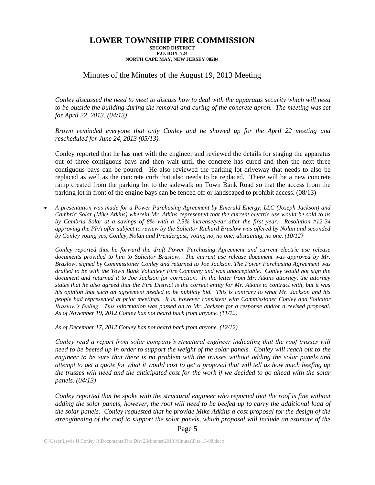# Minutes of the Minutes of the August 19, 2013 Meeting

*Conley discussed the need to meet to discuss how to deal with the apparatus security which will need to be outside the building during the removal and curing of the concrete apron. The meeting was set for April 22, 2013. (04/13)*

*Brown reminded everyone that only Conley and he showed up for the April 22 meeting and rescheduled for June 24, 2013 (05/13).*

Conley reported that he has met with the engineer and reviewed the details for staging the apparatus out of three contiguous bays and then wait until the concrete has cured and then the next three contiguous bays can be poured. He also reviewed the parking lot driveway that needs to also be replaced as well as the concrete curb that also needs to be replaced. There will be a new concrete ramp created from the parking lot to the sidewalk on Town Bank Road so that the access from the parking lot in front of the engine bays can be fenced off or landscaped to prohibit access. (08/13)

 *A presentation was made for a Power Purchasing Agreement by Emerald Energy, LLC (Joseph Jackson) and Cambria Solar (Mike Atkins) wherein Mr. Atkins represented that the current electric use would be sold to us by Cambria Solar at a savings of 8% with a 2.5% increase/year after the first year. Resolution #12-34 approving the PPA offer subject to review by the Solicitor Richard Braslow was offered by Nolan and seconded by Conley voting yes, Conley, Nolan and Prendergast; voting no, no one; abstaining, no one. (10/12)*

*Conley reported that he forward the draft Power Purchasing Agreement and current electric use release documents provided to him to Solicitor Braslow. The current use release document was approved by Mr. Braslow, signed by Commissioner Conley and returned to Joe Jackson. The Power Purchasing Agreement was drafted to be with the Town Bank Volunteer Fire Company and was unacceptable. Conley would not sign the*  document and returned it to Joe Jackson for correction. In the letter from Mr. Atkins attorney, the attorney *states that he also agreed that the Fire District is the correct entity for Mr. Atkins to contract with, but it was his opinion that such an agreement needed to be publicly bid. This is contrary to what Mr. Jackson and his people had represented at prior meetings. It is, however consistent with Commissioner Conley and Solicitor Braslow's feeling. This information was passed on to Mr. Jackson for a response and/or a revised proposal. As of November 19, 2012 Conley has not heard back from anyone. (11/12)*

*As of December 17, 2012 Conley has not heard back from anyone. (12/12)*

*Conley read a report from solar company's structural engineer indicating that the roof trusses will need to be beefed up in order to support the weight of the solar panels. Conley will reach out to the engineer to be sure that there is no problem with the trusses without adding the solar panels and attempt to get a quote for what it would cost to get a proposal that will tell us how much beefing up the trusses will need and the anticipated cost for the work if we decided to go ahead with the solar panels. (04/13)*

*Conley reported that he spoke with the structural engineer who reported that the roof is fine without adding the solar panels, however, the roof will need to be beefed up to carry the additional load of the solar panels. Conley requested that he provide Mike Adkins a cost proposal for the design of the strengthening of the roof to support the solar panels, which proposal will include an estimate of the* 

Page **5**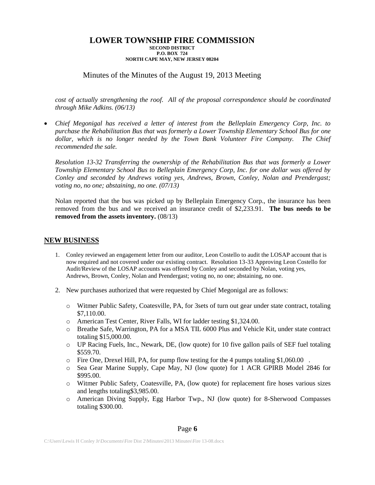# Minutes of the Minutes of the August 19, 2013 Meeting

*cost of actually strengthening the roof. All of the proposal correspondence should be coordinated through Mike Adkins. (06/13)*

 *Chief Megonigal has received a letter of interest from the Belleplain Emergency Corp, Inc. to purchase the Rehabilitation Bus that was formerly a Lower Township Elementary School Bus for one dollar, which is no longer needed by the Town Bank Volunteer Fire Company. The Chief recommended the sale.*

*Resolution 13-32 Transferring the ownership of the Rehabilitation Bus that was formerly a Lower Township Elementary School Bus to Belleplain Emergency Corp, Inc. for one dollar was offered by Conley and seconded by Andrews voting yes, Andrews, Brown, Conley, Nolan and Prendergast; voting no, no one; abstaining, no one. (07/13)*

Nolan reported that the bus was picked up by Belleplain Emergency Corp., the insurance has been removed from the bus and we received an insurance credit of \$2,233.91. **The bus needs to be removed from the assets inventory.** (08/13)

### **NEW BUSINESS**

- 1. Conley reviewed an engagement letter from our auditor, Leon Costello to audit the LOSAP account that is now required and not covered under our existing contract. Resolution 13-33 Approving Leon Costello for Audit/Review of the LOSAP accounts was offered by Conley and seconded by Nolan, voting yes, Andrews, Brown, Conley, Nolan and Prendergast; voting no, no one; abstaining, no one.
- 2. New purchases authorized that were requested by Chief Megonigal are as follows:
	- o Witmer Public Safety, Coatesville, PA, for 3sets of turn out gear under state contract, totaling \$7,110.00.
	- o American Test Center, River Falls, WI for ladder testing \$1,324.00.
	- o Breathe Safe, Warrington, PA for a MSA TIL 6000 Plus and Vehicle Kit, under state contract totaling \$15,000.00.
	- o UP Racing Fuels, Inc., Newark, DE, (low quote) for 10 five gallon pails of SEF fuel totaling \$559.70.
	- $\circ$  Fire One, Drexel Hill, PA, for pump flow testing for the 4 pumps totaling \$1,060.00.
	- o Sea Gear Marine Supply, Cape May, NJ (low quote) for 1 ACR GPIRB Model 2846 for \$995.00.
	- o Witmer Public Safety, Coatesville, PA, (low quote) for replacement fire hoses various sizes and lengths totaling\$3,985.00.
	- o American Diving Supply, Egg Harbor Twp., NJ (low quote) for 8-Sherwood Compasses totaling \$300.00.